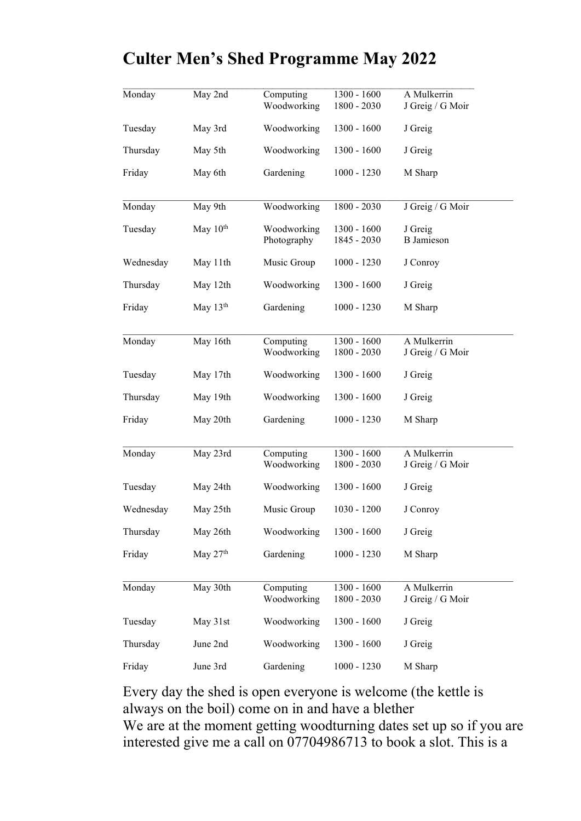## Culter Men's Shed Programme May 2022

| Monday    | May 2nd              | Computing<br>Woodworking   | 1300 - 1600<br>$1800 - 2030$ | A Mulkerrin<br>J Greig / G Moir |
|-----------|----------------------|----------------------------|------------------------------|---------------------------------|
| Tuesday   | May 3rd              | Woodworking                | $1300 - 1600$                | J Greig                         |
| Thursday  | May 5th              | Woodworking                | $1300 - 1600$                | J Greig                         |
| Friday    | May 6th              | Gardening                  | $1000 - 1230$                | M Sharp                         |
| Monday    | May 9th              | Woodworking                | 1800 - 2030                  | J Greig / G Moir                |
| Tuesday   | May 10 <sup>th</sup> | Woodworking<br>Photography | $1300 - 1600$<br>1845 - 2030 | J Greig<br><b>B</b> Jamieson    |
| Wednesday | May 11th             | Music Group                | $1000 - 1230$                | J Conroy                        |
| Thursday  | May 12th             | Woodworking                | $1300 - 1600$                | J Greig                         |
| Friday    | May $13th$           | Gardening                  | $1000 - 1230$                | M Sharp                         |
| Monday    | May 16th             | Computing<br>Woodworking   | 1300 - 1600<br>$1800 - 2030$ | A Mulkerrin<br>J Greig / G Moir |
| Tuesday   | May 17th             | Woodworking                | $1300 - 1600$                | J Greig                         |
| Thursday  | May 19th             | Woodworking                | $1300 - 1600$                | J Greig                         |
| Friday    | May 20th             | Gardening                  | $1000 - 1230$                | M Sharp                         |
| Monday    | May 23rd             | Computing<br>Woodworking   | 1300 - 1600<br>1800 - 2030   | A Mulkerrin<br>J Greig / G Moir |
| Tuesday   | May 24th             | Woodworking                | $1300 - 1600$                | J Greig                         |
| Wednesday | May 25th             | Music Group                | $1030 - 1200$                | J Conroy                        |
| Thursday  | May 26th             | Woodworking                | $1300 - 1600$                | J Greig                         |
| Friday    | May 27 <sup>th</sup> | Gardening                  | $1000 - 1230$                | M Sharp                         |
| Monday    | May 30th             | Computing<br>Woodworking   | 1300 - 1600<br>1800 - 2030   | A Mulkerrin<br>J Greig / G Moir |
| Tuesday   | May 31st             | Woodworking                | $1300 - 1600$                | J Greig                         |
| Thursday  | June 2nd             | Woodworking                | 1300 - 1600                  | J Greig                         |
| Friday    | June 3rd             | Gardening                  | $1000 - 1230$                | M Sharp                         |
|           |                      |                            |                              |                                 |

Every day the shed is open everyone is welcome (the kettle is always on the boil) come on in and have a blether We are at the moment getting woodturning dates set up so if you are interested give me a call on 07704986713 to book a slot. This is a